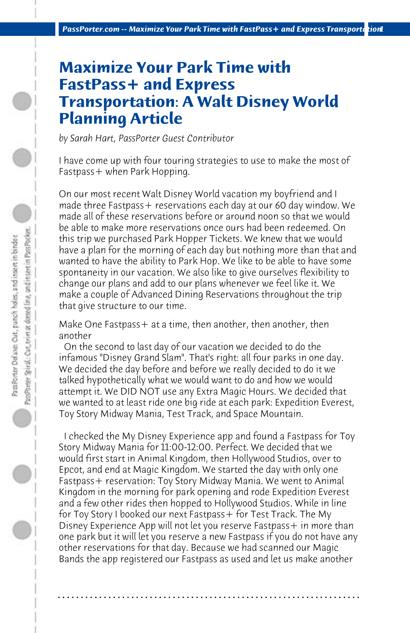## **Maximize Your Park Time with FastPass+ and Express Transportation: A Walt Disney World Planning Article**

*by Sarah Hart, PassPorter Guest Contributor*

I have come up with four touring strategies to use to make the most of Fastpass+ when Park Hopping.

On our most recent Walt Disney World vacation my boyfriend and I made three Fastpass+ reservations each day at our 60 day window. We made all of these reservations before or around noon so that we would be able to make more reservations once ours had been redeemed. On this trip we purchased Park Hopper Tickets. We knew that we would have a plan for the morning of each day but nothing more than that and wanted to have the ability to Park Hop. We like to be able to have some spontaneity in our vacation. We also like to give ourselves flexibility to change our plans and add to our plans whenever we feel like it. We make a couple of Advanced Dining Reservations throughout the trip that give structure to our time.

Make One Fastpass+ at a time, then another, then another, then another

 On the second to last day of our vacation we decided to do the infamous "Disney Grand Slam". That's right: all four parks in one day. We decided the day before and before we really decided to do it we talked hypothetically what we would want to do and how we would attempt it. We DID NOT use any Extra Magic Hours. We decided that we wanted to at least ride one big ride at each park: Expedition Everest, Toy Story Midway Mania, Test Track, and Space Mountain.

 I checked the My Disney Experience app and found a Fastpass for Toy Story Midway Mania for 11:00-12:00. Perfect. We decided that we would first start in Animal Kingdom, then Hollywood Studios, over to Epcot, and end at Magic Kingdom. We started the day with only one Fastpass+ reservation: Toy Story Midway Mania. We went to Animal Kingdom in the morning for park opening and rode Expedition Everest and a few other rides then hopped to Hollywood Studios. While in line for Toy Story I booked our next Fastpass+ for Test Track. The My Disney Experience App will not let you reserve Fastpass + in more than one park but it will let you reserve a new Fastpass if you do not have any other reservations for that day. Because we had scanned our Magic Bands the app registered our Fastpass as used and let us make another

**. . . . . . . . . . . . . . . . . . . . . . . . . . . . . . . . . . . . . . . . . . . . . . . . . . . . . . . . . . . . . . . . . .**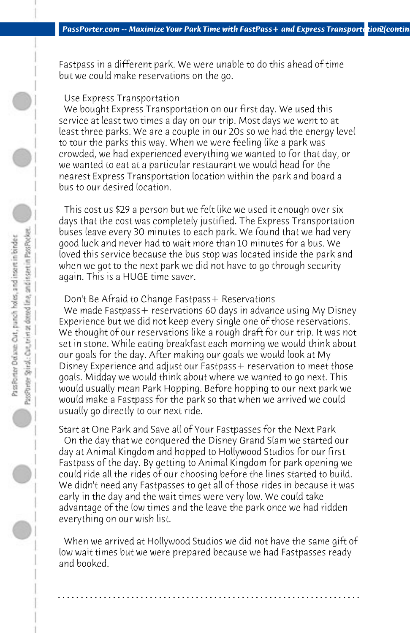Fastpass in a different park. We were unable to do this ahead of time but we could make reservations on the go.

## Use Express Transportation

 We bought Express Transportation on our first day. We used this service at least two times a day on our trip. Most days we went to at least three parks. We are a couple in our 20s so we had the energy level to tour the parks this way. When we were feeling like a park was crowded, we had experienced everything we wanted to for that day, or we wanted to eat at a particular restaurant we would head for the nearest Express Transportation location within the park and board a bus to our desired location.

 This cost us \$29 a person but we felt like we used it enough over six days that the cost was completely justified. The Express Transportation buses leave every 30 minutes to each park. We found that we had very good luck and never had to wait more than 10 minutes for a bus. We loved this service because the bus stop was located inside the park and when we got to the next park we did not have to go through security again. This is a HUGE time saver.

## Don't Be Afraid to Change Fastpass + Reservations

We made Fastpass + reservations 60 days in advance using My Disney Experience but we did not keep every single one of those reservations. We thought of our reservations like a rough draft for our trip. It was not set in stone. While eating breakfast each morning we would think about our goals for the day. After making our goals we would look at My Disney Experience and adjust our Fastpass + reservation to meet those goals. Midday we would think about where we wanted to go next. This would usually mean Park Hopping. Before hopping to our next park we would make a Fastpass for the park so that when we arrived we could usually go directly to our next ride.

Start at One Park and Save all of Your Fastpasses for the Next Park

 On the day that we conquered the Disney Grand Slam we started our day at Animal Kingdom and hopped to Hollywood Studios for our first Fastpass of the day. By getting to Animal Kingdom for park opening we could ride all the rides of our choosing before the lines started to build. We didn't need any Fastpasses to get all of those rides in because it was early in the day and the wait times were very low. We could take advantage of the low times and the leave the park once we had ridden everything on our wish list.

 When we arrived at Hollywood Studios we did not have the same gift of low wait times but we were prepared because we had Fastpasses ready and booked.

**. . . . . . . . . . . . . . . . . . . . . . . . . . . . . . . . . . . . . . . . . . . . . . . . . . . . . . . . . . . . . . . . . .**